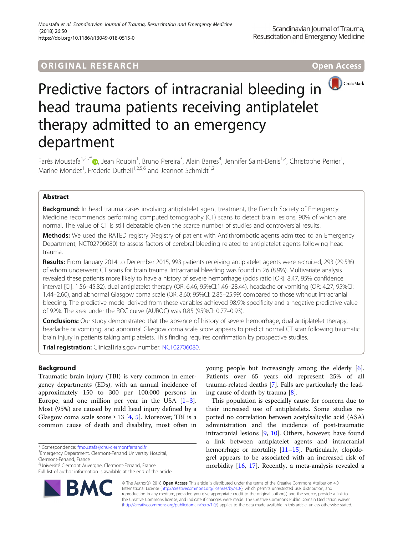# **ORIGINAL RESEARCH CONSERVERS AND ACCESS**



# Predictive factors of intracranial bleeding in head trauma patients receiving antiplatelet therapy admitted to an emergency department

Farès Moustafa<sup>1,2,7[\\*](http://orcid.org/0000-0003-0949-1558)</sup>®, Jean Roubin<sup>1</sup>, Bruno Pereira<sup>3</sup>, Alain Barres<sup>4</sup>, Jennifer Saint-Denis<sup>1,2</sup>, Christophe Perrier<sup>1</sup> , Marine Mondet<sup>1</sup>, Frederic Dutheil<sup>1,2,5,6</sup> and Jeannot Schmidt<sup>1,2</sup>

### Abstract

**Background:** In head trauma cases involving antiplatelet agent treatment, the French Society of Emergency Medicine recommends performing computed tomography (CT) scans to detect brain lesions, 90% of which are normal. The value of CT is still debatable given the scarce number of studies and controversial results.

**Methods:** We used the RATED registry (Registry of patient with Antithrombotic agents admitted to an Emergency Department, NCT02706080) to assess factors of cerebral bleeding related to antiplatelet agents following head trauma.

Results: From January 2014 to December 2015, 993 patients receiving antiplatelet agents were recruited, 293 (29.5%) of whom underwent CT scans for brain trauma. Intracranial bleeding was found in 26 (8.9%). Multivariate analysis revealed these patients more likely to have a history of severe hemorrhage (odds ratio [OR]: 8.47, 95% confidence interval [CI]: 1.56–45.82), dual antiplatelet therapy (OR: 6.46, 95%CI:1.46–28.44), headache or vomiting (OR: 4.27, 95%CI: 1.44–2.60), and abnormal Glasgow coma scale (OR: 8.60; 95%CI: 2.85–25.99) compared to those without intracranial bleeding. The predictive model derived from these variables achieved 98.9% specificity and a negative predictive value of 92%. The area under the ROC curve (AUROC) was 0.85 (95%CI: 0.77–0.93).

Conclusions: Our study demonstrated that the absence of history of severe hemorrhage, dual antiplatelet therapy, headache or vomiting, and abnormal Glasgow coma scale score appears to predict normal CT scan following traumatic brain injury in patients taking antiplatelets. This finding requires confirmation by prospective studies.

Trial registration: ClinicalTrials.gov number: [NCT02706080.](https://clinicaltrials.gov/ct2/show/NCT02706080)

## Background

Traumatic brain injury (TBI) is very common in emergency departments (EDs), with an annual incidence of approximately 150 to 300 per 100,000 persons in Europe, and one million per year in the USA  $[1-3]$  $[1-3]$  $[1-3]$  $[1-3]$ . Most (95%) are caused by mild head injury defined by a Glasgow coma scale score  $\geq$  13 [[4,](#page-5-0) [5](#page-5-0)]. Moreover, TBI is a common cause of death and disability, most often in

BM



This population is especially cause for concern due to their increased use of antiplatelets. Some studies reported no correlation between acetylsalicylic acid (ASA) administration and the incidence of post-traumatic intracranial lesions [\[9](#page-5-0), [10](#page-5-0)]. Others, however, have found a link between antiplatelet agents and intracranial hemorrhage or mortality  $[11–15]$  $[11–15]$  $[11–15]$ . Particularly, clopidogrel appears to be associated with an increased risk of morbidity [\[16,](#page-5-0) [17\]](#page-5-0). Recently, a meta-analysis revealed a



<sup>\*</sup> Correspondence: [fmoustafa@chu-clermontferrand.fr](mailto:fmoustafa@chu-clermontferrand.fr) <sup>1</sup>

<sup>&</sup>lt;sup>1</sup> Emergency Department, Clermont-Ferrand University Hospital, Clermont-Ferrand, France

<sup>&</sup>lt;sup>2</sup>Université Clermont Auvergne, Clermont-Ferrand, France

Full list of author information is available at the end of the article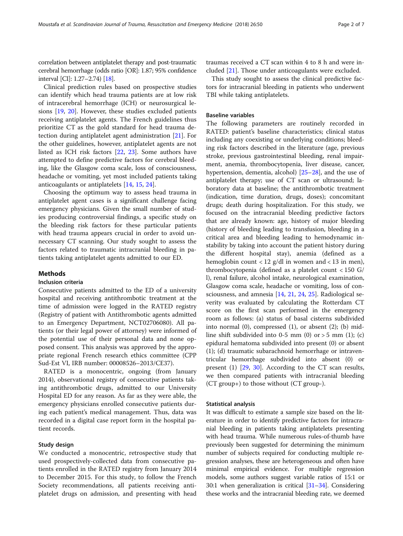correlation between antiplatelet therapy and post-traumatic cerebral hemorrhage (odds ratio [OR]: 1.87; 95% confidence interval [CI]: 1.27–2.74) [[18\]](#page-5-0).

Clinical prediction rules based on prospective studies can identify which head trauma patients are at low risk of intracerebral hemorrhage (ICH) or neurosurgical lesions [\[19](#page-5-0), [20](#page-5-0)]. However, these studies excluded patients receiving antiplatelet agents. The French guidelines thus prioritize CT as the gold standard for head trauma detection during antiplatelet agent administration [\[21](#page-5-0)]. For the other guidelines, however, antiplatelet agents are not listed as ICH risk factors [[22,](#page-5-0) [23](#page-5-0)]. Some authors have attempted to define predictive factors for cerebral bleeding, like the Glasgow coma scale, loss of consciousness, headache or vomiting, yet most included patients taking anticoagulants or antiplatelets [[14](#page-5-0), [15](#page-5-0), [24](#page-5-0)].

Choosing the optimum way to assess head trauma in antiplatelet agent cases is a significant challenge facing emergency physicians. Given the small number of studies producing controversial findings, a specific study on the bleeding risk factors for these particular patients with head trauma appears crucial in order to avoid unnecessary CT scanning. Our study sought to assess the factors related to traumatic intracranial bleeding in patients taking antiplatelet agents admitted to our ED.

#### Methods

#### Inclusion criteria

Consecutive patients admitted to the ED of a university hospital and receiving antithrombotic treatment at the time of admission were logged in the RATED registry (Registry of patient with Antithrombotic agents admitted to an Emergency Department, NCT02706080). All patients (or their legal power of attorney) were informed of the potential use of their personal data and none opposed consent. This analysis was approved by the appropriate regional French research ethics committee (CPP Sud-Est VI, IRB number: 00008526–2013/CE37).

RATED is a monocentric, ongoing (from January 2014), observational registry of consecutive patients taking antithrombotic drugs, admitted to our University Hospital ED for any reason. As far as they were able, the emergency physicians enrolled consecutive patients during each patient's medical management. Thus, data was recorded in a digital case report form in the hospital patient records.

#### Study design

We conducted a monocentric, retrospective study that used prospectively-collected data from consecutive patients enrolled in the RATED registry from January 2014 to December 2015. For this study, to follow the French Society recommendations, all patients receiving antiplatelet drugs on admission, and presenting with head

traumas received a CT scan within 4 to 8 h and were included [[21\]](#page-5-0). Those under anticoagulants were excluded.

This study sought to assess the clinical predictive factors for intracranial bleeding in patients who underwent TBI while taking antiplatelets.

#### Baseline variables

The following parameters are routinely recorded in RATED: patient's baseline characteristics; clinical status including any coexisting or underlying conditions; bleeding risk factors described in the literature (age, previous stroke, previous gastrointestinal bleeding, renal impairment, anemia, thrombocytopenia, liver disease, cancer, hypertension, dementia, alcohol) [\[25](#page-5-0)–[28\]](#page-6-0), and the use of antiplatelet therapy; use of CT scan or ultrasound; laboratory data at baseline; the antithrombotic treatment (indication, time duration, drugs, doses); concomitant drugs; death during hospitalization. For this study, we focused on the intracranial bleeding predictive factors that are already known: age, history of major bleeding (history of bleeding leading to transfusion, bleeding in a critical area and bleeding leading to hemodynamic instability by taking into account the patient history during the different hospital stay), anemia (defined as a hemoglobin count < 12 g/dl in women and < 13 in men), thrombocytopenia (defined as a platelet count < 150 G/ l), renal failure, alcohol intake, neurological examination, Glasgow coma scale, headache or vomiting, loss of consciousness, and amnesia [\[14](#page-5-0), [21](#page-5-0), [24](#page-5-0), [25](#page-5-0)]. Radiological severity was evaluated by calculating the Rotterdam CT score on the first scan performed in the emergency room as follows: (a) status of basal cisterns subdivided into normal (0), compressed (1), or absent (2); (b) midline shift subdivided into 0-5 mm  $(0)$  or > 5 mm  $(1)$ ;  $(c)$ epidural hematoma subdivided into present (0) or absent (1); (d) traumatic subarachnoid hemorrhage or intraventricular hemorrhage subdivided into absent (0) or present (1) [[29,](#page-6-0) [30\]](#page-6-0). According to the CT scan results, we then compared patients with intracranial bleeding (CT group+) to those without (CT group-).

#### Statistical analysis

It was difficult to estimate a sample size based on the literature in order to identify predictive factors for intracranial bleeding in patients taking antiplatelets presenting with head trauma. While numerous rules-of-thumb have previously been suggested for determining the minimum number of subjects required for conducting multiple regression analyses, these are heterogeneous and often have minimal empirical evidence. For multiple regression models, some authors suggest variable ratios of 15:1 or 30:1 when generalization is critical [[31](#page-6-0)–[34\]](#page-6-0). Considering these works and the intracranial bleeding rate, we deemed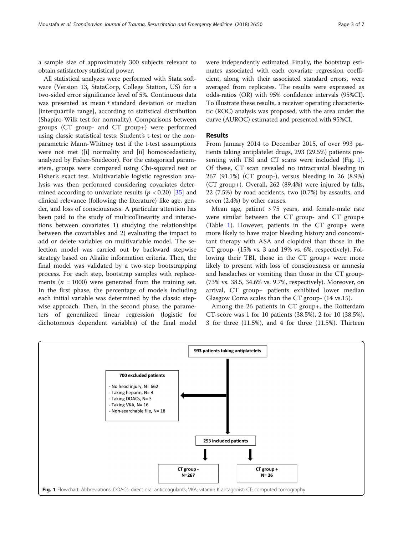a sample size of approximately 300 subjects relevant to obtain satisfactory statistical power.

All statistical analyzes were performed with Stata software (Version 13, StataCorp, College Station, US) for a two-sided error significance level of 5%. Continuous data was presented as mean ± standard deviation or median [interquartile range], according to statistical distribution (Shapiro-Wilk test for normality). Comparisons between groups (CT group- and CT group+) were performed using classic statistical tests: Student's t-test or the nonparametric Mann-Whitney test if the t-test assumptions were not met ([i] normality and [ii] homoscedasticity, analyzed by Fisher-Snedecor). For the categorical parameters, groups were compared using Chi-squared test or Fisher's exact test. Multivariable logistic regression analysis was then performed considering covariates determined according to univariate results ( $p < 0.20$ ) [\[35](#page-6-0)] and clinical relevance (following the literature) like age, gender, and loss of consciousness. A particular attention has been paid to the study of multicollinearity and interactions between covariates 1) studying the relationships between the covariables and 2) evaluating the impact to add or delete variables on multivariable model. The selection model was carried out by backward stepwise strategy based on Akaike information criteria. Then, the final model was validated by a two-step bootstrapping process. For each step, bootstrap samples with replacements ( $n = 1000$ ) were generated from the training set. In the first phase, the percentage of models including each initial variable was determined by the classic stepwise approach. Then, in the second phase, the parameters of generalized linear regression (logistic for dichotomous dependent variables) of the final model were independently estimated. Finally, the bootstrap estimates associated with each covariate regression coefficient, along with their associated standard errors, were averaged from replicates. The results were expressed as odds-ratios (OR) with 95% confidence intervals (95%CI). To illustrate these results, a receiver operating characteristic (ROC) analysis was proposed, with the area under the curve (AUROC) estimated and presented with 95%CI.

#### Results

From January 2014 to December 2015, of over 993 patients taking antiplatelet drugs, 293 (29.5%) patients presenting with TBI and CT scans were included (Fig. 1). Of these, CT scan revealed no intracranial bleeding in 267 (91.1%) (CT group-), versus bleeding in 26 (8.9%) (CT group+). Overall, 262 (89.4%) were injured by falls, 22 (7.5%) by road accidents, two (0.7%) by assaults, and seven (2.4%) by other causes.

Mean age, patient > 75 years, and female-male rate were similar between the CT group- and CT group+ (Table [1\)](#page-3-0). However, patients in the CT group+ were more likely to have major bleeding history and concomitant therapy with ASA and clopidrel than those in the CT group- (15% vs. 3 and 19% vs. 6%, respectively). Following their TBI, those in the CT group+ were more likely to present with loss of consciousness or amnesia and headaches or vomiting than those in the CT group- (73% vs. 38.5, 34.6% vs. 9.7%, respectively). Moreover, on arrival, CT group+ patients exhibited lower median Glasgow Coma scales than the CT group- (14 vs.15).

Among the 26 patients in CT group+, the Rotterdam CT-score was 1 for 10 patients (38.5%), 2 for 10 (38.5%), 3 for three (11.5%), and 4 for three (11.5%). Thirteen

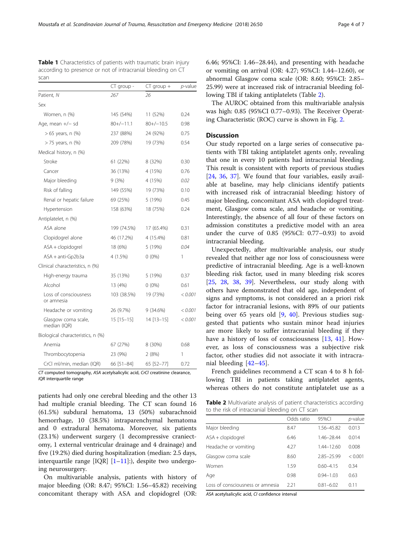|                                     | CT group -   | $CT$ group + | <i>p</i> -value |
|-------------------------------------|--------------|--------------|-----------------|
| Patient, N                          | 267          | 26           |                 |
| Sex                                 |              |              |                 |
| Women, n (%)                        | 145 (54%)    | 11 (52%)     | 0.24            |
| Age, mean $+/-$ sd                  | $80+/-11.1$  | $80+/-10.5$  | 0.98            |
| > 65 years, n (%)                   | 237 (88%)    | 24 (92%)     | 0.75            |
| > 75 years, n (%)                   | 209 (78%)    | 19 (73%)     | 0.54            |
| Medical history, n (%)              |              |              |                 |
| Stroke                              | 61 (22%)     | 8 (32%)      | 0.30            |
| Cancer                              | 36 (13%)     | 4 (15%)      | 0.76            |
| Major bleeding                      | 9(3%)        | 4 (15%)      | 0.02            |
| Risk of falling                     | 149 (55%)    | 19 (73%)     | 0.10            |
| Renal or hepatic failure            | 69 (25%)     | 5 (19%)      | 0.45            |
| Hypertension                        | 158 (63%)    | 18 (75%)     | 0.24            |
| Antiplatelet, n (%)                 |              |              |                 |
| ASA alone                           | 199 (74.5%)  | 17 (65.4%)   | 0.31            |
| Clopidogrel alone                   | 46 (17.2%)   | 4 (15.4%)    | 0.81            |
| ASA + clopidogrel                   | 18 (6%)      | 5 (19%)      | 0.04            |
| $ASA + anti-Gp2b3a$                 | 4 (1.5%)     | $0(0\%)$     | 1               |
| Clinical characteristics, n (%)     |              |              |                 |
| High-energy trauma                  | 35 (13%)     | 5 (19%)      | 0.37            |
| Alcohol                             | 13 (4%)      | $0(0\%)$     | 0.61            |
| Loss of consciousness<br>or amnesia | 103 (38.5%)  | 19 (73%)     | < 0.001         |
| Headache or vomiting                | 26 (9.7%)    | 9(34.6%)     | < 0.001         |
| Glasgow coma scale,<br>median (IQR) | $15$ [15-15] | 14 [13-15]   | < 0.001         |
| Biological characteristics, n (%)   |              |              |                 |
| Anemia                              | 67 (27%)     | 8 (30%)      | 0.68            |
| Thrombocytopenia                    | 23 (9%)      | 2(8%)        | 1               |
| CrCl ml/min, median (IQR)           | 66 [51-84]   | 65 [52-77]   | 0.72            |

<span id="page-3-0"></span>Table 1 Characteristics of patients with traumatic brain injury according to presence or not of intracranial bleeding on CT scan

CT computed tomography, ASA acetylsalicylic acid, CrCl creatinine clearance, IQR interquartile range

patients had only one cerebral bleeding and the other 13 had multiple cranial bleeding. The CT scan found 16 (61.5%) subdural hematoma, 13 (50%) subarachnoid hemorrhage, 10 (38.5%) intraparenchymal hematoma and 0 extradural hematoma. Moreover, six patients (23.1%) underwent surgery (1 decompressive craniectomy, 1 external ventricular drainage and 4 drainage) and five (19.2%) died during hospitalization (median: 2.5 days, interquartile range  $[IQR]$   $[1-11]$  $[1-11]$  $[1-11]$ :), despite two undergoing neurosurgery.

On multivariable analysis, patients with history of major bleeding (OR: 8.47; 95%CI: 1.56–45.82) receiving concomitant therapy with ASA and clopidogrel (OR: 6.46; 95%CI: 1.46–28.44), and presenting with headache or vomiting on arrival (OR: 4.27; 95%CI: 1.44–12.60), or abnormal Glasgow coma scale (OR: 8.60; 95%CI: 2.85– 25.99) were at increased risk of intracranial bleeding following TBI if taking antiplatelets (Table 2).

The AUROC obtained from this multivariable analysis was high: 0.85 (95%CI 0.77–0.93). The Receiver Operating Characteristic (ROC) curve is shown in Fig. [2](#page-4-0).

#### **Discussion**

Our study reported on a large series of consecutive patients with TBI taking antiplatelet agents only, revealing that one in every 10 patients had intracranial bleeding. This result is consistent with reports of previous studies [[24,](#page-5-0) [36,](#page-6-0) [37](#page-6-0)]. We found that four variables, easily available at baseline, may help clinicians identify patients with increased risk of intracranial bleeding: history of major bleeding, concomitant ASA with clopidogrel treatment, Glasgow coma scale, and headache or vomiting. Interestingly, the absence of all four of these factors on admission constitutes a predictive model with an area under the curve of 0.85 (95%CI: 0.77–0.93) to avoid intracranial bleeding.

Unexpectedly, after multivariable analysis, our study revealed that neither age nor loss of consciousness were predictive of intracranial bleeding. Age is a well-known bleeding risk factor, used in many bleeding risk scores [[25,](#page-5-0) [28,](#page-6-0) [38,](#page-6-0) [39](#page-6-0)]. Nevertheless, our study along with others have demonstrated that old age, independent of signs and symptoms, is not considered an a priori risk factor for intracranial lesions, with 89% of our patients being over 65 years old [[9,](#page-5-0) [40](#page-6-0)]. Previous studies suggested that patients who sustain minor head injuries are more likely to suffer intracranial bleeding if they have a history of loss of consciousness [\[13](#page-5-0), [41\]](#page-6-0). However, as loss of consciousness was a subjective risk factor, other studies did not associate it with intracranial bleeding [\[42](#page-6-0)–[45](#page-6-0)].

French guidelines recommend a CT scan 4 to 8 h following TBI in patients taking antiplatelet agents, whereas others do not constitute antiplatelet use as a

Table 2 Multivariate analysis of patient characteristics according to the risk of intracranial bleeding on CT scan

|                                   | Odds ratio | 95%CI          | p-value |
|-----------------------------------|------------|----------------|---------|
| Major bleeding                    | 8.47       | 1.56-45.82     | 0.013   |
| $ASA + clopido$                   | 6.46       | 1.46-28.44     | 0.014   |
| Headache or vomiting              | 4.27       | $1.44 - 12.60$ | 0.008   |
| Glasgow coma scale                | 8.60       | 285-2599       | < 0.001 |
| Women                             | 1.59       | 060-415        | 0.34    |
| Age                               | 0.98       | 094-103        | 0.63    |
| Loss of consciousness or amnesial | 2.21       | $0.81 - 6.02$  | 011     |

ASA acetylsalicylic acid, CI confidence interval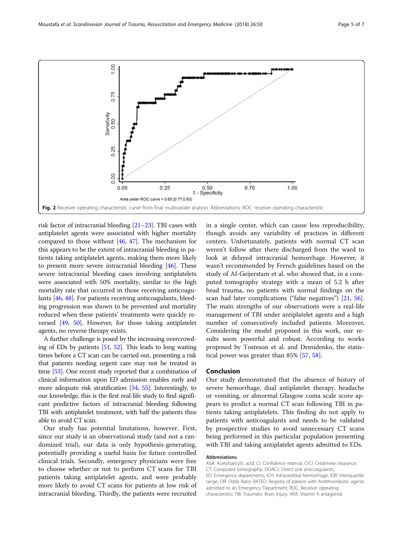<span id="page-4-0"></span>

risk factor of intracranial bleeding [\[21](#page-5-0)–[23\]](#page-5-0). TBI cases with antiplatelet agents were associated with higher mortality compared to those without [\[46,](#page-6-0) [47\]](#page-6-0). The mechanism for this appears to be the extent of intracranial bleeding in patients taking antiplatelet agents, making them more likely to present more severe intracranial bleeding [[46](#page-6-0)]. These severe intracranial bleeding cases involving antiplatelets were associated with 50% mortality, similar to the high mortality rate that occurred in those receiving anticoagulants [[46](#page-6-0), [48\]](#page-6-0). For patients receiving anticoagulants, bleeding progression was shown to be prevented and mortality reduced when these patients' treatments were quickly reversed [[49,](#page-6-0) [50\]](#page-6-0). However, for those taking antiplatelet agents, no reverse therapy exists.

A further challenge is posed by the increasing overcrowding of EDs by patients [\[51](#page-6-0), [52](#page-6-0)]. This leads to long waiting times before a CT scan can be carried out, presenting a risk that patients needing urgent care may not be treated in time [\[53\]](#page-6-0). One recent study reported that a combination of clinical information upon ED admission enables early and more adequate risk stratification [\[54,](#page-6-0) [55](#page-6-0)]. Interestingly, to our knowledge, this is the first real-life study to find significant predictive factors of intracranial bleeding following TBI with antiplatelet treatment, with half the patients thus able to avoid CT scan.

Our study has potential limitations, however. First, since our study is an observational study (and not a randomized trial), our data is only hypothesis-generating, potentially providing a useful basis for future controlled clinical trials. Secondly, emergency physicians were free to choose whether or not to perform CT scans for TBI patients taking antiplatelet agents, and were probably more likely to avoid CT scans for patients at low risk of intracranial bleeding. Thirdly, the patients were recruited

in a single center, which can cause less reproducibility, though avoids any variability of practices in different centers. Unfortunately, patients with normal CT scan weren't follow after there discharged from the ward to look at delayed intracranial hemorrhage. However, it wasn't recommended by French guidelines based on the study of Af-Geijerstam et al. who showed that, in a computed tomography strategy with a mean of 5.2 h after head trauma, no patients with normal findings on the scan had later complications ("false negatives") [[21](#page-5-0), [56](#page-6-0)]. The main strengths of our observations were a real-life management of TBI under antiplatelet agents and a high number of consecutively included patients. Moreover, Considering the model proposed in this work, our results seem powerful and robust. According to works proposed by Tosteson et al. and Demidenko, the statistical power was greater than 85% [\[57](#page-6-0), [58](#page-6-0)].

#### Conclusion

Our study demonstrated that the absence of history of severe hemorrhage, dual antiplatelet therapy, headache or vomiting, or abnormal Glasgow coma scale score appears to predict a normal CT scan following TBI in patients taking antiplatelets. This finding do not apply to patients with anticoagulants and needs to be validated by prospective studies to avoid unnecessary CT scans being performed in this particular population presenting with TBI and taking antiplatelet agents admitted to EDs.

#### Abbreviations

ASA: Acetylsalicylic acid; CI: Confidence interval; CrCl: Creatinine clearance; CT: Computed tomography; DOACs: Direct oral anticoagulants; ED: Emergency departments; ICH: Intracerebral hemorrhage; IQR: Interquartile range; OR: Odds Ratio; RATED: Registry of patient with Antithrombotic agents admitted to an Emergency Department; ROC: Receiver operating characteristic; TBI: Traumatic Brain Injury; VKA: Vitamin K antagonist.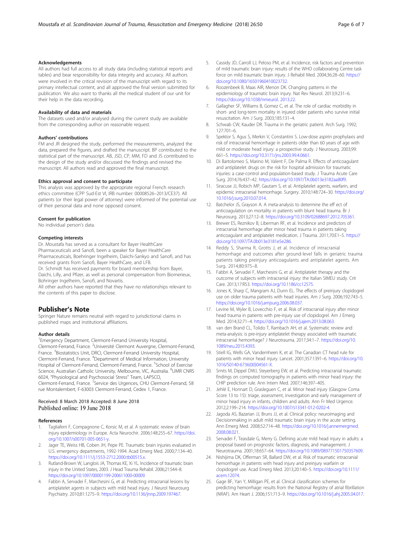#### <span id="page-5-0"></span>Acknowledgements

All authors had full access to all study data (including statistical reports and tables) and bear responsibility for data integrity and accuracy. All authors were involved in the critical revision of the manuscript with regard to its primary intellectual content, and all approved the final version submitted for publication. We also want to thanks all the medical student of our unit for their help in the data recording.

#### Availability of data and materials

The datasets used and/or analysed during the current study are available from the corresponding author on reasonable request.

#### Authors' contributions

FM and JR designed the study, performed the measurements, analyzed the data, prepared the figures, and drafted the manuscript. BP contributed to the statistical part of the manuscript. AB, JSD, CP, MM, FD and JS contributed to the design of the study and/or discussed the findings and revised the manuscript. All authors read and approved the final manuscript.

#### Ethics approval and consent to participate

This analysis was approved by the appropriate regional French research ethics committee (CPP Sud-Est VI, IRB number: 00008526–2013/CE37). All patients (or their legal power of attorney) were informed of the potential use of their personal data and none opposed consent.

#### Consent for publication

No individual person's data.

#### Competing interests

Dr. Moustafa has served as a consultant for Bayer HealthCare Pharmaceuticals and Sanofi, been a speaker for Bayer HealthCare Pharmaceuticals, Boehringer Ingelheim, Daiichi-Sankyo and Sanofi, and has received grants from Sanofi, Bayer HealthCare, and LFB. Dr. Schmidt has received payments for board membership from Bayer,

Daichi, Lilly, and Pfizer, as well as personal compensation from Biomerieux, Bohringer Ingelheim, Sanofi, and Novartis.

All other authors have reported that they have no relationships relevant to the contents of this paper to disclose.

#### Publisher's Note

Springer Nature remains neutral with regard to jurisdictional claims in published maps and institutional affiliations.

#### Author details

<sup>1</sup> Emergency Department, Clermont-Ferrand University Hospital, Clermont-Ferrand, France. <sup>2</sup>Université Clermont Auvergne, Clermont-Ferrand, France. <sup>3</sup> Biostatistics Unit, DRCI, Clermont-Ferrand University Hospital, Clermont-Ferrand, France. <sup>4</sup> Department of Medical Information, University Hospital of Clermont-Ferrand, Clermont-Ferrand, France. <sup>5</sup>School of Exercise Science, Australian Catholic University, Melbourne, VIC, Australia. <sup>6</sup>UMR CNRS 6024, "Physiological and Psychosocial Stress" Team, LAPSCO, Clermont-Ferrand, France. <sup>7</sup>Service des Urgences, CHU Clermont-Ferrand, 58 rue Montalembert, F-63003 Clermont-Ferrand, Cedex 1, France.

# Received: 8 March 2018 Accepted: 8 June 2018<br>Published online: 19 June 2018

#### References

- Tagliaferri F, Compagnone C, Korsic M, et al. A systematic review of brain injury epidemiology in Europe. Acta Neurochir. 2006;148:255–67. [https://doi.](https://doi.org/10.1007/s00701-005-0651-y) [org/10.1007/s00701-005-0651-y.](https://doi.org/10.1007/s00701-005-0651-y)
- 2. Jager TE, Weiss HB, Coben JH, Pepe PE. Traumatic brain injuries evaluated in U.S. emergency departments, 1992-1994. Acad Emerg Med. 2000;7:134–40. <https://doi.org/10.1111/j.1553-2712.2000.tb00515.x>.
- Rutland-Brown W, Langlois JA, Thomas KE, Xi YL. Incidence of traumatic brain injury in the United States, 2003. J Head Trauma Rehabil. 2006;21:544–8. [https://doi.org/10.1097/00001199-200611000-00009.](https://doi.org/10.1097/00001199-200611000-00009)
- 4. Fabbri A, Servadei F, Marchesini G, et al. Predicting intracranial lesions by antiplatelet agents in subjects with mild head injury. J Neurol Neurosurg Psychiatry. 2010;81:1275–9. [https://doi.org/10.1136/jnnp.2009.197467.](https://doi.org/10.1136/jnnp.2009.197467)
- 5. Cassidy JD, Carroll LJ, Peloso PM, et al. Incidence, risk factors and prevention of mild traumatic brain injury: results of the WHO collaborating Centre task force on mild traumatic brain injury. J Rehabil Med. 2004;36:28–60. [https://](https://doi.org/10.1080/16501960410023732) [doi.org/10.1080/16501960410023732](https://doi.org/10.1080/16501960410023732).
- 6. Roozenbeek B, Maas AIR, Menon DK. Changing patterns in the epidemiology of traumatic brain injury. Nat Rev Neurol. 2013;9:231–6. <https://doi.org/10.1038/nrneurol. 2013.22>.
- 7. Gallagher SF, Williams B, Gomez C, et al. The role of cardiac morbidity in short- and long-term mortality in injured older patients who survive initial resuscitation. Am J Surg. 2003;185:131–4.
- 8. Schwab CW, Kauder DR. Trauma in the geriatric patient. Arch Surg. 1992; 127:701–6.
- 9. Spektor S, Agus S, Merkin V, Constantini S. Low-dose aspirin prophylaxis and risk of intracranial hemorrhage in patients older than 60 years of age with mild or moderate head injury: a prospective study. J Neurosurg. 2003;99: 661–5. [https://doi.org/10.3171/jns.2003.99.4.0661.](https://doi.org/10.3171/jns.2003.99.4.0661)
- 10. Di Bartolomeo S, Marino M, Valent F, De Palma R. Effects of anticoagulant and antiplatelet drugs on the risk for hospital admission for traumatic injuries: a case-control and population-based study. J Trauma Acute Care Surg. 2014;76:437–42. [https://doi.org/10.1097/TA.0b013e3182aa80f9.](https://doi.org/10.1097/TA.0b013e3182aa80f9)
- 11. Siracuse JJ, Robich MP, Gautam S, et al. Antiplatelet agents, warfarin, and epidemic intracranial hemorrhage. Surgery. 2010;148:724–30. [https://doi.org/](https://doi.org/10.1016/j.surg.2010.07.014) [10.1016/j.surg.2010.07.014.](https://doi.org/10.1016/j.surg.2010.07.014)
- 12. Batchelor JS, Grayson A. A meta-analysis to determine the eff ect of anticoagulation on mortality in patients with blunt head trauma. Br J Neurosurg. 2013;27:12–8. [https://doi.org/10.3109/02688697.2012.705361.](https://doi.org/10.3109/02688697.2012.705361)
- 13. Brewer ES, Reznikov B, Liberman RF, et al. Incidence and predictors of intracranial hemorrhage after minor head trauma in patients taking anticoagulant and antiplatelet medication. J Trauma. 2011;70:E1–5. [https://](https://doi.org/10.1097/TA.0b013e3181e5e286) [doi.org/10.1097/TA.0b013e3181e5e286.](https://doi.org/10.1097/TA.0b013e3181e5e286)
- 14. Reddy S, Sharma R, Grotts J, et al. Incidence of intracranial hemorrhage and outcomes after ground-level falls in geriatric trauma patients taking preinjury anticoagulants and antiplatelet agents. Am Surg. 2014;80:975–8.
- 15. Fabbri A, Servadei F, Marchesini G, et al. Antiplatelet therapy and the outcome of subjects with intracranial injury: the Italian SIMEU study. Crit Care. 2013;17:R53. [https://doi.org/10.1186/cc12575.](https://doi.org/10.1186/cc12575)
- 16. Jones K, Sharp C, Mangram AJ, Dunn EL. The effects of preinjury clopidogrel use on older trauma patients with head injuries. Am J Surg. 2006;192:743–5. [https://doi.org/10.1016/j.amjsurg.2006.08.037.](https://doi.org/10.1016/j.amjsurg.2006.08.037)
- 17. Levine M, Wyler B, Lovecchio F, et al. Risk of intracranial injury after minor head trauma in patients with pre-injury use of clopidogrel. Am J Emerg Med. 2014;32:71–4. [https://doi.org/10.1016/j.ajem.2013.08.063.](https://doi.org/10.1016/j.ajem.2013.08.063)
- 18. van den Brand CL, Tolido T, Rambach AH, et al. Systematic review and meta-analysis: is pre-injury antiplatelet therapy associated with traumatic intracranial hemorrhage? J Neurotrauma. 2017;34:1–7. [https://doi.org/10.](https://doi.org/10.1089/neu.2015.4393) [1089/neu.2015.4393](https://doi.org/10.1089/neu.2015.4393).
- 19. Stiell IG, Wells GA, Vandemheen K, et al. The Canadian CT head rule for patients with minor head injury. Lancet. 2001;357:1391–6. [https://doi.org/10.](https://doi.org/10.1016/S0140-6736(00)04561-X) [1016/S0140-6736\(00\)04561-X](https://doi.org/10.1016/S0140-6736(00)04561-X).
- 20. Smits M, Dippel DWJ, Steyerberg EW, et al. Predicting intracranial traumatic findings on computed tomography in patients with minor head injury: the CHIP prediction rule. Ann Intern Med. 2007;146:397–405.
- 21. Jehlé E, Honnart D, Grasleguen C, et al. Minor head injury (Glasgow Coma Score 13 to 15): triage, assessment, investigation and early management of minor head injury in infants, children and adults. Ann Fr Med Urgence. 2012;2:199–214. [https://doi.org/10.1007/s13341-012-0202-4.](https://doi.org/10.1007/s13341-012-0202-4)
- 22. Jagoda AS, Bazarian JJ, Bruns JJ, et al. Clinical policy: neuroimaging and Decisionmaking in adult mild traumatic brain injury in the acute setting. Ann Emerg Med. 2008;52:714–48. [https://doi.org/10.1016/j.annemergmed.](https://doi.org/10.1016/j.annemergmed.2008.08.021) [2008.08.021.](https://doi.org/10.1016/j.annemergmed.2008.08.021)
- 23. Servadei F, Teasdale G, Merry G. Defining acute mild head injury in adults: a proposal based on prognostic factors, diagnosis, and management. J Neurotrauma. 2001;18:657–64. <https://doi.org/10.1089/089771501750357609>.
- 24. Nishijima DK, Offerman SR, Ballard DW, et al. Risk of traumatic intracranial hemorrhage in patients with head injury and preinjury warfarin or clopidogrel use. Acad Emerg Med. 2013;20:140–5. [https://doi.org/10.1111/](https://doi.org/10.1111/acem.12074) [acem.12074](https://doi.org/10.1111/acem.12074).
- 25. Gage BF, Yan Y, Milligan PE, et al. Clinical classification schemes for predicting hemorrhage: results from the National Registry of atrial fibrillation (NRAF). Am Heart J. 2006;151:713–9. [https://doi.org/10.1016/j.ahj.2005.04.017.](https://doi.org/10.1016/j.ahj.2005.04.017)